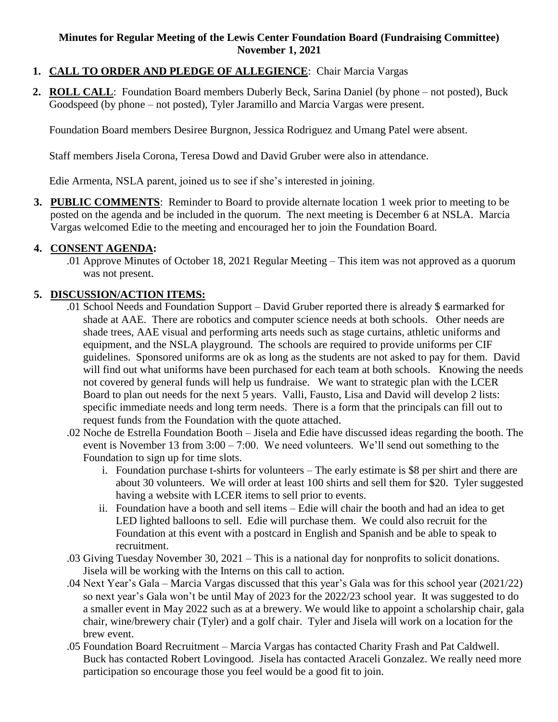#### **Minutes for Regular Meeting of the Lewis Center Foundation Board (Fundraising Committee) November 1, 2021**

- **1. CALL TO ORDER AND PLEDGE OF ALLEGIENCE**: Chair Marcia Vargas
- **2. ROLL CALL**: Foundation Board members Duberly Beck, Sarina Daniel (by phone not posted), Buck Goodspeed (by phone – not posted), Tyler Jaramillo and Marcia Vargas were present.

Foundation Board members Desiree Burgnon, Jessica Rodriguez and Umang Patel were absent.

Staff members Jisela Corona, Teresa Dowd and David Gruber were also in attendance.

Edie Armenta, NSLA parent, joined us to see if she's interested in joining.

**3. PUBLIC COMMENTS**: Reminder to Board to provide alternate location 1 week prior to meeting to be posted on the agenda and be included in the quorum. The next meeting is December 6 at NSLA. Marcia Vargas welcomed Edie to the meeting and encouraged her to join the Foundation Board.

#### **4. CONSENT AGENDA:**

.01 Approve Minutes of October 18, 2021 Regular Meeting – This item was not approved as a quorum was not present.

### **5. DISCUSSION/ACTION ITEMS:**

- .01 School Needs and Foundation Support David Gruber reported there is already \$ earmarked for shade at AAE. There are robotics and computer science needs at both schools. Other needs are shade trees, AAE visual and performing arts needs such as stage curtains, athletic uniforms and equipment, and the NSLA playground. The schools are required to provide uniforms per CIF guidelines. Sponsored uniforms are ok as long as the students are not asked to pay for them. David will find out what uniforms have been purchased for each team at both schools. Knowing the needs not covered by general funds will help us fundraise. We want to strategic plan with the LCER Board to plan out needs for the next 5 years. Valli, Fausto, Lisa and David will develop 2 lists: specific immediate needs and long term needs. There is a form that the principals can fill out to request funds from the Foundation with the quote attached.
- .02 Noche de Estrella Foundation Booth Jisela and Edie have discussed ideas regarding the booth. The event is November 13 from  $3:00 - 7:00$ . We need volunteers. We'll send out something to the Foundation to sign up for time slots.
	- i. Foundation purchase t-shirts for volunteers The early estimate is \$8 per shirt and there are about 30 volunteers. We will order at least 100 shirts and sell them for \$20. Tyler suggested having a website with LCER items to sell prior to events.
	- ii. Foundation have a booth and sell items Edie will chair the booth and had an idea to get LED lighted balloons to sell. Edie will purchase them. We could also recruit for the Foundation at this event with a postcard in English and Spanish and be able to speak to recruitment.
- .03 Giving Tuesday November 30, 2021 This is a national day for nonprofits to solicit donations. Jisela will be working with the Interns on this call to action.
- .04 Next Year's Gala Marcia Vargas discussed that this year's Gala was for this school year (2021/22) so next year's Gala won't be until May of 2023 for the 2022/23 school year. It was suggested to do a smaller event in May 2022 such as at a brewery. We would like to appoint a scholarship chair, gala chair, wine/brewery chair (Tyler) and a golf chair. Tyler and Jisela will work on a location for the brew event.
- .05 Foundation Board Recruitment Marcia Vargas has contacted Charity Frash and Pat Caldwell. Buck has contacted Robert Lovingood. Jisela has contacted Araceli Gonzalez. We really need more participation so encourage those you feel would be a good fit to join.